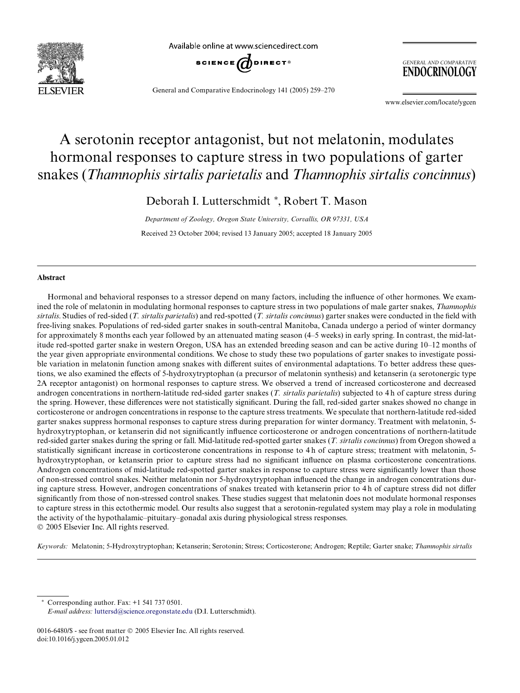

Available online at www.sciencedirect.com



General and Comparative Endocrinology 141 (2005) 259–270

**GENERAL AND COMPARATIVE** ENDOCRINOLOGY

www.elsevier.com/locate/ygcen

# A serotonin receptor antagonist, but not melatonin, modulates hormonal responses to capture stress in two populations of garter snakes (*Thamnophis sirtalis parietalis* and *Thamnophis sirtalis concinnus*)

Deborah I. Lutterschmidt \*, Robert T. Mason

*Department of Zoology, Oregon State University, Corvallis, OR 97331, USA* Received 23 October 2004; revised 13 January 2005; accepted 18 January 2005

#### **Abstract**

Hormonal and behavioral responses to a stressor depend on many factors, including the influence of other hormones. We examined the role of melatonin in modulating hormonal responses to capture stress in two populations of male garter snakes, *Thamnophis sirtalis*. Studies of red-sided (*T. sirtalis parietalis*) and red-spotted (*T. sirtalis concinnus*) garter snakes were conducted in the field with free-living snakes. Populations of red-sided garter snakes in south-central Manitoba, Canada undergo a period of winter dormancy for approximately 8 months each year followed by an attenuated mating season (4–5 weeks) in early spring. In contrast, the mid-latitude red-spotted garter snake in western Oregon, USA has an extended breeding season and can be active during 10–12 months of the year given appropriate environmental conditions. We chose to study these two populations of garter snakes to investigate possible variation in melatonin function among snakes with different suites of environmental adaptations. To better address these questions, we also examined the effects of 5-hydroxytryptophan (a precursor of melatonin synthesis) and ketanserin (a serotonergic type 2A receptor antagonist) on hormonal responses to capture stress. We observed a trend of increased corticosterone and decreased androgen concentrations in northern-latitude red-sided garter snakes (*T. sirtalis parietalis*) subjected to 4 h of capture stress during the spring. However, these differences were not statistically significant. During the fall, red-sided garter snakes showed no change in corticosterone or androgen concentrations in response to the capture stress treatments. We speculate that northern-latitude red-sided garter snakes suppress hormonal responses to capture stress during preparation for winter dormancy. Treatment with melatonin, 5 hydroxytryptophan, or ketanserin did not significantly influence corticosterone or androgen concentrations of northern-latitude red-sided garter snakes during the spring or fall. Mid-latitude red-spotted garter snakes (*T. sirtalis concinnus*) from Oregon showed a statistically significant increase in corticosterone concentrations in response to 4 h of capture stress; treatment with melatonin, 5hydroxytryptophan, or ketanserin prior to capture stress had no significant influence on plasma corticosterone concentrations. Androgen concentrations of mid-latitude red-spotted garter snakes in response to capture stress were significantly lower than those of non-stressed control snakes. Neither melatonin nor 5-hydroxytryptophan influenced the change in androgen concentrations during capture stress. However, androgen concentrations of snakes treated with ketanserin prior to 4 h of capture stress did not differ significantly from those of non-stressed control snakes. These studies suggest that melatonin does not modulate hormonal responses to capture stress in this ectothermic model. Our results also suggest that a serotonin-regulated system may play a role in modulating the activity of the hypothalamic–pituitary–gonadal axis during physiological stress responses. 2005 Elsevier Inc. All rights reserved.

*Keywords:* Melatonin; 5-Hydroxytryptophan; Ketanserin; Serotonin; Stress; Corticosterone; Androgen; Reptile; Garter snake; *Thamnophis sirtalis*

Corresponding author. Fax: +1 541 737 0501.

*E-mail address:* [luttersd@science.oregonstate.edu](mailto: luttersd@science.oregonstate.edu) (D.I. Lutterschmidt).

<sup>0016-6480/\$ -</sup> see front matter  $\odot$  2005 Elsevier Inc. All rights reserved. doi:10.1016/j.ygcen.2005.01.012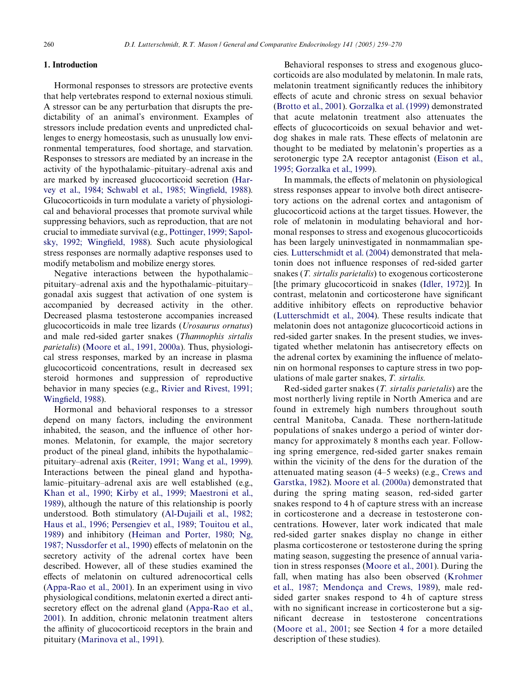## **1. Introduction**

Hormonal responses to stressors are protective events that help vertebrates respond to external noxious stimuli. A stressor can be any perturbation that disrupts the predictability of an animal's environment. Examples of stressors include predation events and unpredicted challenges to energy homeostasis, such as unusually low environmental temperatures, food shortage, and starvation. Responses to stressors are mediated by an increase in the activity of the hypothalamic–pituitary–adrenal axis and are marked by increased glucocorticoid secretion [\(Har](#page-9-0)[vey et al., 1984; Schwabl et al., 1985; Wing](#page-9-0)fi[eld, 1988](#page-9-0)). Glucocorticoids in turn modulate a variety of physiological and behavioral processes that promote survival while suppressing behaviors, such as reproduction, that are not crucial to immediate survival (e.g., [Pottinger, 1999; Sapol](#page-10-0)[sky, 1992; Wing](#page-10-0)fi[eld, 1988\)](#page-10-0). Such acute physiological stress responses are normally adaptive responses used to modify metabolism and mobilize energy stores.

Negative interactions between the hypothalamic– pituitary–adrenal axis and the hypothalamic–pituitary– gonadal axis suggest that activation of one system is accompanied by decreased activity in the other. Decreased plasma testosterone accompanies increased glucocorticoids in male tree lizards (*Urosaurus ornatus*) and male red-sided garter snakes (*Thamnophis sirtalis parietalis*) [\(Moore et al., 1991, 2000a\)](#page-10-1). Thus, physiological stress responses, marked by an increase in plasma glucocorticoid concentrations, result in decreased sex steroid hormones and suppression of reproductive behavior in many species (e.g., [Rivier and Rivest, 1991;](#page-10-2) [Wing](#page-10-2)fi[eld, 1988\)](#page-10-2).

Hormonal and behavioral responses to a stressor depend on many factors, including the environment inhabited, the season, and the influence of other hormones. Melatonin, for example, the major secretory product of the pineal gland, inhibits the hypothalamic– pituitary–adrenal axis [\(Reiter, 1991; Wang et al., 1999\)](#page-10-3). Interactions between the pineal gland and hypothalamic–pituitary–adrenal axis are well established (e.g., [Khan et al., 1990; Kirby et al., 1999; Maestroni et al.,](#page-10-4) [1989\)](#page-10-4), although the nature of this relationship is poorly understood. Both stimulatory ([Al-Dujaili et al., 1982;](#page-9-1) [Haus et al., 1996; Persengiev et al., 1989; Touitou et al.,](#page-9-1) [1989\)](#page-9-1) and inhibitory ([Heiman and Porter, 1980; Ng,](#page-9-2) [1987; Nussdorfer et al., 1990\)](#page-9-2) effects of melatonin on the secretory activity of the adrenal cortex have been described. However, all of these studies examined the effects of melatonin on cultured adrenocortical cells [\(Appa-Rao et al., 2001](#page-9-3)). In an experiment using in vivo physiological conditions, melatonin exerted a direct anti-secretory effect on the adrenal gland ([Appa-Rao et al.,](#page-9-3) [2001\)](#page-9-3). In addition, chronic melatonin treatment alters the affinity of glucocorticoid receptors in the brain and pituitary ([Marinova et al., 1991](#page-10-5)).

Behavioral responses to stress and exogenous glucocorticoids are also modulated by melatonin. In male rats, melatonin treatment significantly reduces the inhibitory effects of acute and chronic stress on sexual behavior ([Brotto et al., 2001](#page-9-4)). [Gorzalka et al. \(1999\)](#page-9-5) demonstrated that acute melatonin treatment also attenuates the effects of glucocorticoids on sexual behavior and wetdog shakes in male rats. These effects of melatonin are thought to be mediated by melatonin's properties as a serotonergic type 2A receptor antagonist ([Eison et al.,](#page-9-6) [1995; Gorzalka et al., 1999\)](#page-9-6).

In mammals, the effects of melatonin on physiological stress responses appear to involve both direct antisecretory actions on the adrenal cortex and antagonism of glucocorticoid actions at the target tissues. However, the role of melatonin in modulating behavioral and hormonal responses to stress and exogenous glucocorticoids has been largely uninvestigated in nonmammalian species. [Lutterschmidt et al. \(2004\)](#page-10-6) demonstrated that melatonin does not influence responses of red-sided garter snakes (*T. sirtalis parietalis*) to exogenous corticosterone [the primary glucocorticoid in snakes ([Idler, 1972](#page-9-7))]. In contrast, melatonin and corticosterone have significant additive inhibitory effects on reproductive behavior ([Lutterschmidt et al., 2004\)](#page-10-6). These results indicate that melatonin does not antagonize glucocorticoid actions in red-sided garter snakes. In the present studies, we investigated whether melatonin has antisecretory effects on the adrenal cortex by examining the influence of melatonin on hormonal responses to capture stress in two populations of male garter snakes, *T. sirtalis*.

Red-sided garter snakes (*T. sirtalis parietalis*) are the most northerly living reptile in North America and are found in extremely high numbers throughout south central Manitoba, Canada. These northern-latitude populations of snakes undergo a period of winter dormancy for approximately 8 months each year. Following spring emergence, red-sided garter snakes remain within the vicinity of the dens for the duration of the attenuated mating season (4–5 weeks) (e.g., [Crews and](#page-9-8) [Garstka, 1982](#page-9-8)). [Moore et al. \(2000a\)](#page-10-7) demonstrated that during the spring mating season, red-sided garter snakes respond to 4 h of capture stress with an increase in corticosterone and a decrease in testosterone concentrations. However, later work indicated that male red-sided garter snakes display no change in either plasma corticosterone or testosterone during the spring mating season, suggesting the presence of annual variation in stress responses ([Moore et al., 2001\)](#page-10-8). During the fall, when mating has also been observed [\(Krohmer](#page-10-9) [et al., 1987; Mendonça and Crews, 1989](#page-10-9)), male redsided garter snakes respond to 4h of capture stress with no significant increase in corticosterone but a significant decrease in testosterone concentrations ([Moore et al., 2001](#page-10-8); see Section [4](#page-5-0) for a more detailed description of these studies).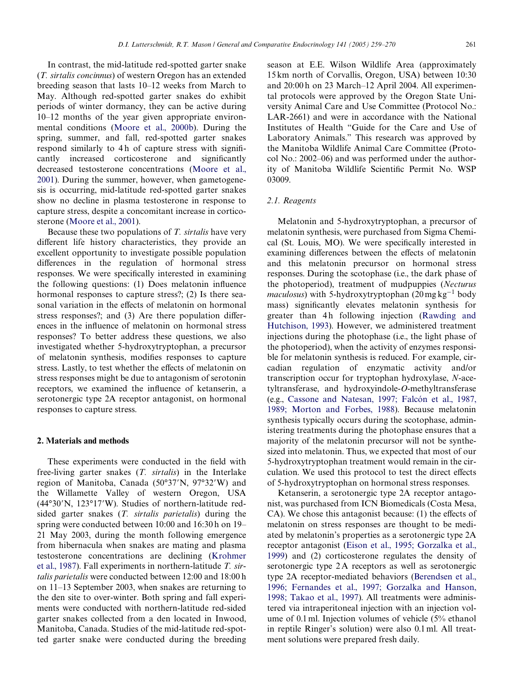In contrast, the mid-latitude red-spotted garter snake (*T. sirtalis concinnus*) of western Oregon has an extended breeding season that lasts 10–12 weeks from March to May. Although red-spotted garter snakes do exhibit periods of winter dormancy, they can be active during 10–12 months of the year given appropriate environmental conditions ([Moore et al., 2000b\)](#page-10-10). During the spring, summer, and fall, red-spotted garter snakes respond similarly to 4h of capture stress with significantly increased corticosterone and significantly decreased testosterone concentrations [\(Moore et al.,](#page-10-8) [2001\)](#page-10-8). During the summer, however, when gametogenesis is occurring, mid-latitude red-spotted garter snakes show no decline in plasma testosterone in response to capture stress, despite a concomitant increase in corticosterone [\(Moore et al., 2001\)](#page-10-8).

Because these two populations of *T. sirtalis* have very different life history characteristics, they provide an excellent opportunity to investigate possible population differences in the regulation of hormonal stress responses. We were specifically interested in examining the following questions:  $(1)$  Does melatonin influence hormonal responses to capture stress?; (2) Is there seasonal variation in the effects of melatonin on hormonal stress responses?; and  $(3)$  Are there population differences in the influence of melatonin on hormonal stress responses? To better address these questions, we also investigated whether 5-hydroxytryptophan, a precursor of melatonin synthesis, modifies responses to capture stress. Lastly, to test whether the effects of melatonin on stress responses might be due to antagonism of serotonin receptors, we examined the influence of ketanserin, a serotonergic type 2A receptor antagonist, on hormonal responses to capture stress.

## **2. Materials and methods**

These experiments were conducted in the field with free-living garter snakes (*T. sirtalis*) in the Interlake region of Manitoba, Canada (50°37'N, 97°32'W) and the Willamette Valley of western Oregon, USA  $(44°30'N, 123°17'W)$ . Studies of northern-latitude redsided garter snakes (*T. sirtalis parietalis*) during the spring were conducted between 10:00 and 16:30 h on 19– 21 May 2003, during the month following emergence from hibernacula when snakes are mating and plasma testosterone concentrations are declining [\(Krohmer](#page-10-9) [et al., 1987](#page-10-9)). Fall experiments in northern-latitude *T. sirtalis parietalis* were conducted between 12:00 and 18:00 h on 11–13 September 2003, when snakes are returning to the den site to over-winter. Both spring and fall experiments were conducted with northern-latitude red-sided garter snakes collected from a den located in Inwood, Manitoba, Canada. Studies of the mid-latitude red-spotted garter snake were conducted during the breeding

season at E.E. Wilson Wildlife Area (approximately 15 km north of Corvallis, Oregon, USA) between 10:30 and 20:00 h on 23 March–12 April 2004. All experimental protocols were approved by the Oregon State University Animal Care and Use Committee (Protocol No.: LAR-2661) and were in accordance with the National Institutes of Health "Guide for the Care and Use of Laboratory Animals." This research was approved by the Manitoba Wildlife Animal Care Committee (Protocol No.: 2002–06) and was performed under the authority of Manitoba Wildlife Scientific Permit No. WSP 03009.

# *2.1. Reagents*

Melatonin and 5-hydroxytryptophan, a precursor of melatonin synthesis, were purchased from Sigma Chemical (St. Louis, MO). We were specifically interested in examining differences between the effects of melatonin and this melatonin precursor on hormonal stress responses. During the scotophase (i.e., the dark phase of the photoperiod), treatment of mudpuppies (*Necturus* maculosus) with 5-hydroxytryptophan (20 mg kg<sup>-1</sup> body mass) significantly elevates melatonin synthesis for greater than 4h following injection [\(Rawding and](#page-10-11) [Hutchison, 1993](#page-10-11)). However, we administered treatment injections during the photophase (i.e., the light phase of the photoperiod), when the activity of enzymes responsible for melatonin synthesis is reduced. For example, circadian regulation of enzymatic activity and/or transcription occur for tryptophan hydroxylase, *N*-acetyltransferase, and hydroxyindole-*O*-methyltransferase (e.g., [Cassone and Natesan, 1997; Falcón et al., 1987,](#page-9-9) [1989; Morton and Forbes, 1988](#page-9-9)). Because melatonin synthesis typically occurs during the scotophase, administering treatments during the photophase ensures that a majority of the melatonin precursor will not be synthesized into melatonin. Thus, we expected that most of our 5-hydroxytryptophan treatment would remain in the circulation. We used this protocol to test the direct effects of 5-hydroxytryptophan on hormonal stress responses.

Ketanserin, a serotonergic type 2A receptor antagonist, was purchased from ICN Biomedicals (Costa Mesa,  $CA$ ). We chose this antagonist because: (1) the effects of melatonin on stress responses are thought to be mediated by melatonin's properties as a serotonergic type 2A receptor antagonist ([Eison et al., 1995; Gorzalka et al.,](#page-9-6) [1999\)](#page-9-6) and (2) corticosterone regulates the density of serotonergic type 2A receptors as well as serotonergic type 2A receptor-mediated behaviors [\(Berendsen et al.,](#page-9-10) [1996; Fernandes et al., 1997; Gorzalka and Hanson,](#page-9-10) [1998; Takao et al., 1997\)](#page-9-10). All treatments were administered via intraperitoneal injection with an injection volume of 0.1 ml. Injection volumes of vehicle (5% ethanol in reptile Ringer's solution) were also 0.1 ml. All treatment solutions were prepared fresh daily.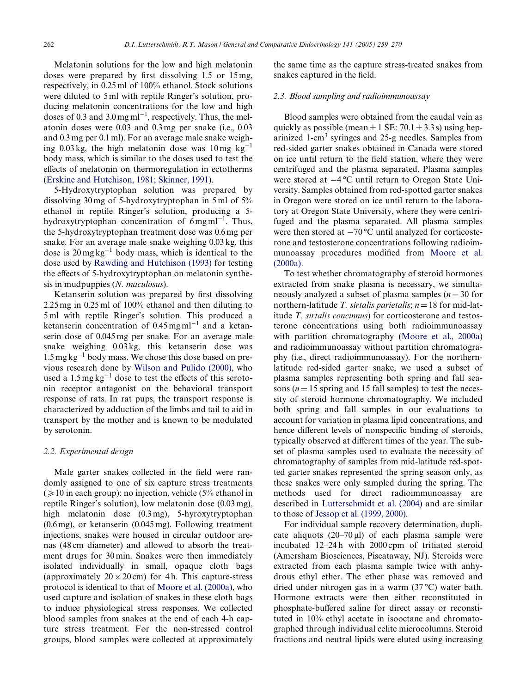Melatonin solutions for the low and high melatonin doses were prepared by first dissolving  $1.5$  or  $15$  mg, respectively, in 0.25 ml of 100% ethanol. Stock solutions were diluted to 5 ml with reptile Ringer's solution, producing melatonin concentrations for the low and high doses of 0.3 and  $3.0 \,\text{mg}\,\text{ml}^{-1}$ , respectively. Thus, the melatonin doses were 0.03 and 0.3 mg per snake (i.e., 0.03 and 0.3 mg per 0.1 ml). For an average male snake weighing 0.03 kg, the high melatonin dose was  $10 \text{ mg } \text{kg}^{-1}$ body mass, which is similar to the doses used to test the effects of melatonin on thermoregulation in ectotherms [\(Erskine and Hutchison, 1981; Skinner, 1991\)](#page-9-11).

5-Hydroxytryptophan solution was prepared by dissolving 30 mg of 5-hydroxytryptophan in 5 ml of 5% ethanol in reptile Ringer's solution, producing a 5 hydroxytryptophan concentration of  $6 \text{ mg} \text{ml}^{-1}$ . Thus, the 5-hydroxytryptophan treatment dose was 0.6 mg per snake. For an average male snake weighing 0.03 kg, this dose is  $20 \,\text{mg}\,\text{kg}^{-1}$  body mass, which is identical to the dose used by [Rawding and Hutchison \(1993\)](#page-10-11) for testing the effects of 5-hydroxytryptophan on melatonin synthesis in mudpuppies (*N. maculosus*).

Ketanserin solution was prepared by first dissolving 2.25 mg in 0.25 ml of 100% ethanol and then diluting to 5 ml with reptile Ringer's solution. This produced a ketanserin concentration of  $0.45 \,\mathrm{mg}\,\mathrm{m}^{-1}$  and a ketanserin dose of 0.045 mg per snake. For an average male snake weighing 0.03 kg, this ketanserin dose was  $1.5 \text{ mg}\,\text{kg}^{-1}$  body mass. We chose this dose based on previous research done by [Wilson and Pulido \(2000\)](#page-10-12), who used a  $1.5 \text{ mg}\text{ kg}^{-1}$  dose to test the effects of this serotonin receptor antagonist on the behavioral transport response of rats. In rat pups, the transport response is characterized by adduction of the limbs and tail to aid in transport by the mother and is known to be modulated by serotonin.

## *2.2. Experimental design*

Male garter snakes collected in the field were randomly assigned to one of six capture stress treatments  $(210 \text{ in each group})$ : no injection, vehicle (5% ethanol in reptile Ringer's solution), low melatonin dose (0.03 mg), high melatonin dose (0.3 mg), 5-hyroxytryptophan (0.6 mg), or ketanserin (0.045 mg). Following treatment injections, snakes were housed in circular outdoor arenas (48 cm diameter) and allowed to absorb the treatment drugs for 30 min. Snakes were then immediately isolated individually in small, opaque cloth bags (approximately  $20 \times 20$  cm) for 4 h. This capture-stress protocol is identical to that of [Moore et al. \(2000a\)](#page-10-7), who used capture and isolation of snakes in these cloth bags to induce physiological stress responses. We collected blood samples from snakes at the end of each 4-h capture stress treatment. For the non-stressed control groups, blood samples were collected at approximately the same time as the capture stress-treated snakes from snakes captured in the field.

#### *2.3. Blood sampling and radioimmunoassay*

Blood samples were obtained from the caudal vein as quickly as possible (mean  $\pm$  1 SE: 70.1  $\pm$  3.3 s) using heparinized 1-cm<sup>3</sup> syringes and 25-g needles. Samples from red-sided garter snakes obtained in Canada were stored on ice until return to the field station, where they were centrifuged and the plasma separated. Plasma samples were stored at  $-4^{\circ}$ C until return to Oregon State University. Samples obtained from red-spotted garter snakes in Oregon were stored on ice until return to the laboratory at Oregon State University, where they were centrifuged and the plasma separated. All plasma samples were then stored at  $-70^{\circ}$ C until analyzed for corticosterone and testosterone concentrations following radioim-munoassay procedures modified from [Moore et al.](#page-10-7) [\(2000a\).](#page-10-7)

To test whether chromatography of steroid hormones extracted from snake plasma is necessary, we simultaneously analyzed a subset of plasma samples  $(n=30$  for northern-latitude *T. sirtalis parietalis*;  $n = 18$  for mid-latitude *T. sirtalis concinnus*) for corticosterone and testosterone concentrations using both radioimmunoassay with partition chromatography ([Moore et al., 2000a](#page-10-7)) and radioimmunoassay without partition chromatography (i.e., direct radioimmunoassay). For the northernlatitude red-sided garter snake, we used a subset of plasma samples representing both spring and fall seasons ( $n = 15$  spring and 15 fall samples) to test the necessity of steroid hormone chromatography. We included both spring and fall samples in our evaluations to account for variation in plasma lipid concentrations, and hence different levels of nonspecific binding of steroids, typically observed at different times of the year. The subset of plasma samples used to evaluate the necessity of chromatography of samples from mid-latitude red-spotted garter snakes represented the spring season only, as these snakes were only sampled during the spring. The methods used for direct radioimmunoassay are described in [Lutterschmidt et al. \(2004\)](#page-10-6) and are similar to those of [Jessop et al. \(1999, 2000\).](#page-9-12)

For individual sample recovery determination, duplicate aliquots  $(20-70 \,\mu\text{I})$  of each plasma sample were incubated 12–24 h with 2000 cpm of tritiated steroid (Amersham Biosciences, Piscataway, NJ). Steroids were extracted from each plasma sample twice with anhydrous ethyl ether. The ether phase was removed and dried under nitrogen gas in a warm (37 °C) water bath. Hormone extracts were then either reconstituted in phosphate-buffered saline for direct assay or reconstituted in 10% ethyl acetate in isooctane and chromatographed through individual celite microcolumns. Steroid fractions and neutral lipids were eluted using increasing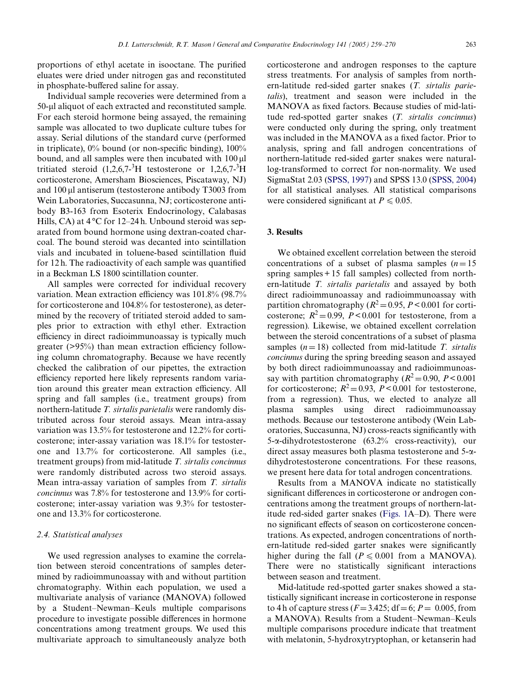proportions of ethyl acetate in isooctane. The purified eluates were dried under nitrogen gas and reconstituted in phosphate-buffered saline for assay.

Individual sample recoveries were determined from a 50-µl aliquot of each extracted and reconstituted sample. For each steroid hormone being assayed, the remaining sample was allocated to two duplicate culture tubes for assay. Serial dilutions of the standard curve (performed in triplicate),  $0\%$  bound (or non-specific binding),  $100\%$ bound, and all samples were then incubated with  $100 \mu$ tritiated steroid  $(1,2,6,7<sup>-3</sup>H)$  testosterone or  $1,2,6,7<sup>-3</sup>H$ corticosterone, Amersham Biosciences, Piscataway, NJ) and  $100 \mu$ l antiserum (testosterone antibody T3003 from Wein Laboratories, Succasunna, NJ; corticosterone antibody B3-163 from Esoterix Endocrinology, Calabasas Hills, CA) at  $4^{\circ}$ C for 12–24 h. Unbound steroid was separated from bound hormone using dextran-coated charcoal. The bound steroid was decanted into scintillation vials and incubated in toluene-based scintillation fluid for 12 $h$ . The radioactivity of each sample was quantified in a Beckman LS 1800 scintillation counter.

All samples were corrected for individual recovery variation. Mean extraction efficiency was 101.8% (98.7%) for corticosterone and 104.8% for testosterone), as determined by the recovery of tritiated steroid added to samples prior to extraction with ethyl ether. Extraction efficiency in direct radioimmunoassay is typically much greater  $(>95%)$  than mean extraction efficiency following column chromatography. Because we have recently checked the calibration of our pipettes, the extraction efficiency reported here likely represents random variation around this greater mean extraction efficiency. All spring and fall samples (i.e., treatment groups) from northern-latitude *T. sirtalis parietalis* were randomly distributed across four steroid assays. Mean intra-assay variation was 13.5% for testosterone and 12.2% for corticosterone; inter-assay variation was 18.1% for testosterone and 13.7% for corticosterone. All samples (i.e., treatment groups) from mid-latitude *T. sirtalis concinnus* were randomly distributed across two steroid assays. Mean intra-assay variation of samples from *T. sirtalis concinnus* was 7.8% for testosterone and 13.9% for corticosterone; inter-assay variation was 9.3% for testosterone and 13.3% for corticosterone.

#### *2.4. Statistical analyses*

We used regression analyses to examine the correlation between steroid concentrations of samples determined by radioimmunoassay with and without partition chromatography. Within each population, we used a multivariate analysis of variance (MANOVA) followed by a Student–Newman–Keuls multiple comparisons procedure to investigate possible differences in hormone concentrations among treatment groups. We used this multivariate approach to simultaneously analyze both

corticosterone and androgen responses to the capture stress treatments. For analysis of samples from northern-latitude red-sided garter snakes (*T. sirtalis parietalis*), treatment and season were included in the MANOVA as fixed factors. Because studies of mid-latitude red-spotted garter snakes (*T. sirtalis concinnus*) were conducted only during the spring, only treatment was included in the MANOVA as a fixed factor. Prior to analysis, spring and fall androgen concentrations of northern-latitude red-sided garter snakes were naturallog-transformed to correct for non-normality. We used SigmaStat 2.03 [\(SPSS, 1997](#page-10-13)) and SPSS 13.0 ([SPSS, 2004](#page-10-14)) for all statistical analyses. All statistical comparisons were considered significant at  $P \le 0.05$ .

## **3. Results**

We obtained excellent correlation between the steroid concentrations of a subset of plasma samples  $(n=15)$ spring samples + 15 fall samples) collected from northern-latitude *T. sirtalis parietalis* and assayed by both direct radioimmunoassay and radioimmunoassay with partition chromatography ( $R^2$  = 0.95, *P* < 0.001 for corticosterone;  $R^2 = 0.99$ ,  $P < 0.001$  for testosterone, from a regression). Likewise, we obtained excellent correlation between the steroid concentrations of a subset of plasma samples  $(n=18)$  collected from mid-latitude *T. sirtalis concinnus* during the spring breeding season and assayed by both direct radioimmunoassay and radioimmunoassay with partition chromatography  $(R^2 = 0.90, P < 0.001)$ for corticosterone;  $R^2 = 0.93$ ,  $P < 0.001$  for testosterone, from a regression). Thus, we elected to analyze all plasma samples using direct radioimmunoassay methods. Because our testosterone antibody (Wein Laboratories, Succasunna, NJ) cross-reacts significantly with  $5$ - $\alpha$ -dihydrotestosterone (63.2% cross-reactivity), our direct assay measures both plasma testosterone and 5-adihydrotestosterone concentrations. For these reasons, we present here data for total androgen concentrations.

Results from a MANOVA indicate no statistically significant differences in corticosterone or androgen concentrations among the treatment groups of northern-latitude red-sided garter snakes [\(Figs. 1](#page-5-1)A–D). There were no significant effects of season on corticosterone concentrations. As expected, androgen concentrations of northern-latitude red-sided garter snakes were significantly higher during the fall ( $P \le 0.001$  from a MANOVA). There were no statistically significant interactions between season and treatment.

Mid-latitude red-spotted garter snakes showed a statistically significant increase in corticosterone in response to 4 h of capture stress  $(F = 3.425; df = 6; P = 0.005$ , from a MANOVA). Results from a Student–Newman–Keuls multiple comparisons procedure indicate that treatment with melatonin, 5-hydroxytryptophan, or ketanserin had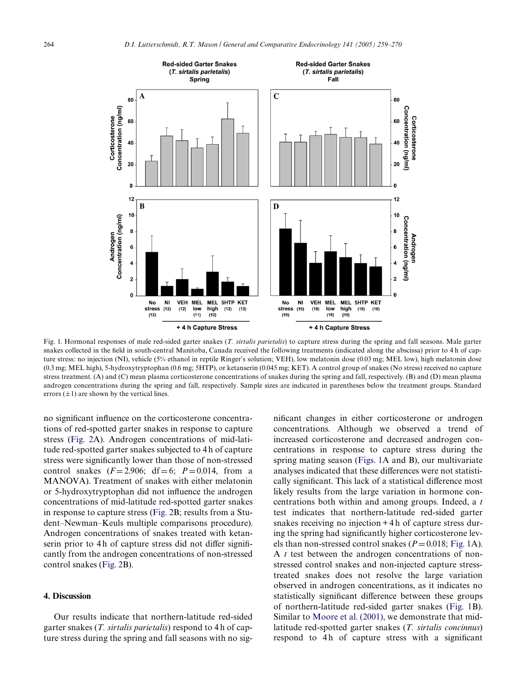

<span id="page-5-1"></span>Fig. 1. Hormonal responses of male red-sided garter snakes (*T. sirtalis parietalis*) to capture stress during the spring and fall seasons. Male garter snakes collected in the field in south-central Manitoba, Canada received the following treatments (indicated along the abscissa) prior to 4 h of capture stress: no injection (NI), vehicle (5% ethanol in reptile Ringer's solution; VEH), low melatonin dose (0.03 mg; MEL low), high melatonin dose (0.3 mg; MEL high), 5-hydroxytryptophan (0.6 mg; 5HTP), or ketanserin (0.045 mg; KET). A control group of snakes (No stress) received no capture stress treatment. (A) and (C) mean plasma corticosterone concentrations of snakes during the spring and fall, respectively. (B) and (D) mean plasma androgen concentrations during the spring and fall, respectively. Sample sizes are indicated in parentheses below the treatment groups. Standard errors  $(\pm 1)$  are shown by the vertical lines.

no significant influence on the corticosterone concentrations of red-spotted garter snakes in response to capture stress ([Fig. 2A](#page-6-0)). Androgen concentrations of mid-latitude red-spotted garter snakes subjected to 4 h of capture stress were significantly lower than those of non-stressed control snakes  $(F = 2.906; df = 6; P = 0.014$ , from a MANOVA). Treatment of snakes with either melatonin or 5-hydroxytryptophan did not influence the androgen concentrations of mid-latitude red-spotted garter snakes in response to capture stress ([Fig. 2B](#page-6-0); results from a Student–Newman–Keuls multiple comparisons procedure). Androgen concentrations of snakes treated with ketanserin prior to 4h of capture stress did not differ significantly from the androgen concentrations of non-stressed control snakes ([Fig. 2B](#page-6-0)).

## <span id="page-5-0"></span>**4. Discussion**

Our results indicate that northern-latitude red-sided garter snakes (*T. sirtalis parietalis*) respond to 4 h of capture stress during the spring and fall seasons with no significant changes in either corticosterone or androgen concentrations. Although we observed a trend of increased corticosterone and decreased androgen concentrations in response to capture stress during the spring mating season ([Figs. 1](#page-5-1)A and B), our multivariate analyses indicated that these differences were not statistically significant. This lack of a statistical difference most likely results from the large variation in hormone concentrations both within and among groups. Indeed, a *t* test indicates that northern-latitude red-sided garter snakes receiving no injection + 4 h of capture stress during the spring had significantly higher corticosterone levels than non-stressed control snakes ( $P = 0.018$ ; [Fig. 1A](#page-5-1)). A *t* test between the androgen concentrations of nonstressed control snakes and non-injected capture stresstreated snakes does not resolve the large variation observed in androgen concentrations, as it indicates no statistically significant difference between these groups of northern-latitude red-sided garter snakes ([Fig. 1B](#page-5-1)). Similar to [Moore et al. \(2001\),](#page-10-8) we demonstrate that midlatitude red-spotted garter snakes (*T. sirtalis concinnus*) respond to 4h of capture stress with a significant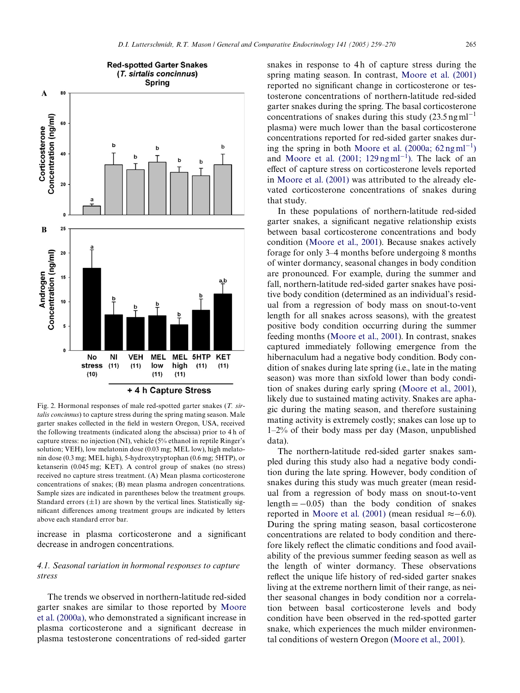

<span id="page-6-0"></span>Fig. 2. Hormonal responses of male red-spotted garter snakes (*T. sirtalis concinnus*) to capture stress during the spring mating season. Male garter snakes collected in the field in western Oregon, USA, received the following treatments (indicated along the abscissa) prior to 4 h of capture stress: no injection (NI), vehicle (5% ethanol in reptile Ringer's solution; VEH), low melatonin dose (0.03 mg; MEL low), high melatonin dose (0.3 mg; MEL high), 5-hydroxytryptophan (0.6 mg; 5HTP), or ketanserin (0.045 mg; KET). A control group of snakes (no stress) received no capture stress treatment. (A) Mean plasma corticosterone concentrations of snakes; (B) mean plasma androgen concentrations. Sample sizes are indicated in parentheses below the treatment groups. Standard errors  $(\pm 1)$  are shown by the vertical lines. Statistically significant differences among treatment groups are indicated by letters above each standard error bar.

increase in plasma corticosterone and a significant decrease in androgen concentrations.

# *4.1. Seasonal variation in hormonal responses to capture stress*

The trends we observed in northern-latitude red-sided garter snakes are similar to those reported by [Moore](#page-10-7) [et al. \(2000a\),](#page-10-7) who demonstrated a significant increase in plasma corticosterone and a significant decrease in plasma testosterone concentrations of red-sided garter snakes in response to 4h of capture stress during the spring mating season. In contrast, [Moore et al. \(2001\)](#page-10-8) reported no significant change in corticosterone or testosterone concentrations of northern-latitude red-sided garter snakes during the spring. The basal corticosterone concentrations of snakes during this study  $(23.5 \text{ ng ml}^{-1})$ plasma) were much lower than the basal corticosterone concentrations reported for red-sided garter snakes d[ur](#page-10-7)ing the spring in both Moore et al.  $(2000a; 62 \text{ ng ml}^{-1})$  $(2000a; 62 \text{ ng ml}^{-1})$  $(2000a; 62 \text{ ng ml}^{-1})$  $(2000a; 62 \text{ ng ml}^{-1})$ and Moore et al.  $(2001; 129 \text{ ng} \text{m} \text{m}^{-1})$  $(2001; 129 \text{ ng} \text{m} \text{m}^{-1})$  $(2001; 129 \text{ ng} \text{m} \text{m}^{-1})$ . The lack of an effect of capture stress on corticosterone levels reported in [Moore et al. \(2001\)](#page-10-8) was attributed to the already elevated corticosterone concentrations of snakes during that study.

In these populations of northern-latitude red-sided garter snakes, a significant negative relationship exists between basal corticosterone concentrations and body condition ([Moore et al., 2001\)](#page-10-8). Because snakes actively forage for only 3–4 months before undergoing 8 months of winter dormancy, seasonal changes in body condition are pronounced. For example, during the summer and fall, northern-latitude red-sided garter snakes have positive body condition (determined as an individual's residual from a regression of body mass on snout-to-vent length for all snakes across seasons), with the greatest positive body condition occurring during the summer feeding months [\(Moore et al., 2001](#page-10-8)). In contrast, snakes captured immediately following emergence from the hibernaculum had a negative body condition. Body condition of snakes during late spring (i.e., late in the mating season) was more than sixfold lower than body condition of snakes during early spring [\(Moore et al., 2001\)](#page-10-8), likely due to sustained mating activity. Snakes are aphagic during the mating season, and therefore sustaining mating activity is extremely costly; snakes can lose up to 1–2% of their body mass per day (Mason, unpublished data).

The northern-latitude red-sided garter snakes sampled during this study also had a negative body condition during the late spring. However, body condition of snakes during this study was much greater (mean residual from a regression of body mass on snout-to-vent length  $= -0.05$ ) than the body condition of snakes reported in [Moore et al. \(2001\)](#page-10-8) (mean residual  $\approx -6.0$ ). During the spring mating season, basal corticosterone concentrations are related to body condition and therefore likely reflect the climatic conditions and food availability of the previous summer feeding season as well as the length of winter dormancy. These observations reflect the unique life history of red-sided garter snakes living at the extreme northern limit of their range, as neither seasonal changes in body condition nor a correlation between basal corticosterone levels and body condition have been observed in the red-spotted garter snake, which experiences the much milder environmental conditions of western Oregon ([Moore et al., 2001\)](#page-10-8).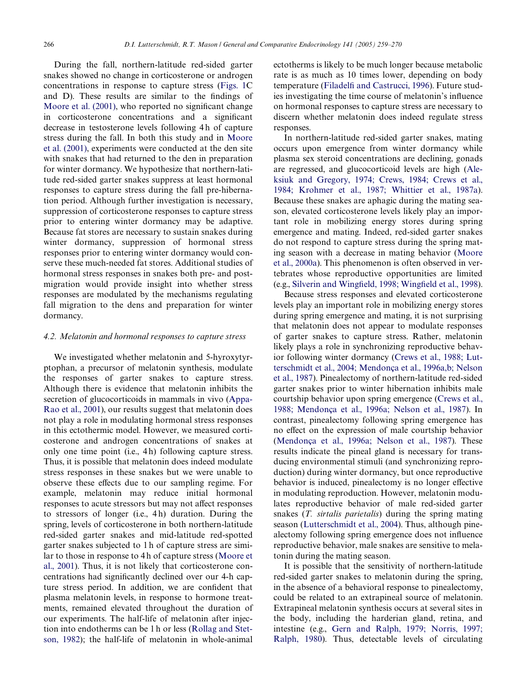During the fall, northern-latitude red-sided garter snakes showed no change in corticosterone or androgen concentrations in response to capture stress [\(Figs. 1](#page-5-1)C and D). These results are similar to the findings of Moore et al.  $(2001)$ , who reported no significant change in corticosterone concentrations and a significant decrease in testosterone levels following 4 h of capture stress during the fall. In both this study and in [Moore](#page-10-8) [et al. \(2001\),](#page-10-8) experiments were conducted at the den site with snakes that had returned to the den in preparation for winter dormancy. We hypothesize that northern-latitude red-sided garter snakes suppress at least hormonal responses to capture stress during the fall pre-hibernation period. Although further investigation is necessary, suppression of corticosterone responses to capture stress prior to entering winter dormancy may be adaptive. Because fat stores are necessary to sustain snakes during winter dormancy, suppression of hormonal stress responses prior to entering winter dormancy would conserve these much-needed fat stores. Additional studies of hormonal stress responses in snakes both pre- and postmigration would provide insight into whether stress responses are modulated by the mechanisms regulating fall migration to the dens and preparation for winter dormancy.

#### *4.2. Melatonin and hormonal responses to capture stress*

We investigated whether melatonin and 5-hyroxytyrptophan, a precursor of melatonin synthesis, modulate the responses of garter snakes to capture stress. Although there is evidence that melatonin inhibits the secretion of glucocorticoids in mammals in vivo [\(Appa-](#page-9-3)[Rao et al., 2001\)](#page-9-3), our results suggest that melatonin does not play a role in modulating hormonal stress responses in this ectothermic model. However, we measured corticosterone and androgen concentrations of snakes at only one time point (i.e., 4 h) following capture stress. Thus, it is possible that melatonin does indeed modulate stress responses in these snakes but we were unable to observe these effects due to our sampling regime. For example, melatonin may reduce initial hormonal responses to acute stressors but may not affect responses to stressors of longer (i.e., 4 h) duration. During the spring, levels of corticosterone in both northern-latitude red-sided garter snakes and mid-latitude red-spotted garter snakes subjected to 1 h of capture stress are similar to those in response to 4 h of capture stress ([Moore et](#page-10-8) [al., 2001](#page-10-8)). Thus, it is not likely that corticosterone concentrations had significantly declined over our 4-h capture stress period. In addition, we are confident that plasma melatonin levels, in response to hormone treatments, remained elevated throughout the duration of our experiments. The half-life of melatonin after injection into endotherms can be 1 h or less [\(Rollag and Stet](#page-10-15)[son, 1982\)](#page-10-15); the half-life of melatonin in whole-animal

ectotherms is likely to be much longer because metabolic rate is as much as 10 times lower, depending on body temperature ([Filadel](#page-9-13)fi [and Castrucci, 1996\)](#page-9-13). Future studies investigating the time course of melatonin's influence on hormonal responses to capture stress are necessary to discern whether melatonin does indeed regulate stress responses.

In northern-latitude red-sided garter snakes, mating occurs upon emergence from winter dormancy while plasma sex steroid concentrations are declining, gonads are regressed, and glucocorticoid levels are high ([Ale](#page-9-14)[ksiuk and Gregory, 1974; Crews, 1984; Crews et al.,](#page-9-14) [1984; Krohmer et al., 1987; Whittier et al., 1987a](#page-9-14)). Because these snakes are aphagic during the mating season, elevated corticosterone levels likely play an important role in mobilizing energy stores during spring emergence and mating. Indeed, red-sided garter snakes do not respond to capture stress during the spring mating season with a decrease in mating behavior ([Moore](#page-10-7) [et al., 2000a](#page-10-7)). This phenomenon is often observed in vertebrates whose reproductive opportunities are limited (e.g., [Silverin and Wing](#page-10-16)field, 1998; [W](#page-10-16)ingfi[eld et al., 1998](#page-10-16)).

Because stress responses and elevated corticosterone levels play an important role in mobilizing energy stores during spring emergence and mating, it is not surprising that melatonin does not appear to modulate responses of garter snakes to capture stress. Rather, melatonin likely plays a role in synchronizing reproductive behavior following winter dormancy ([Crews et al., 1988; Lut](#page-9-15)[terschmidt et al., 2004; Mendonça et al., 1996a,b; Nelson](#page-9-15) [et al., 1987](#page-9-15)). Pinealectomy of northern-latitude red-sided garter snakes prior to winter hibernation inhibits male courtship behavior upon spring emergence [\(Crews et al.,](#page-9-15) [1988; Mendonça et al., 1996a; Nelson et al., 1987\)](#page-9-15). In contrast, pinealectomy following spring emergence has no effect on the expression of male courtship behavior ([Mendonça et al., 1996a; Nelson et al., 1987](#page-10-17)). These results indicate the pineal gland is necessary for transducing environmental stimuli (and synchronizing reproduction) during winter dormancy, but once reproductive behavior is induced, pinealectomy is no longer effective in modulating reproduction. However, melatonin modulates reproductive behavior of male red-sided garter snakes (*T. sirtalis parietalis*) during the spring mating season [\(Lutterschmidt et al., 2004\)](#page-10-6). Thus, although pinealectomy following spring emergence does not influence reproductive behavior, male snakes are sensitive to melatonin during the mating season.

It is possible that the sensitivity of northern-latitude red-sided garter snakes to melatonin during the spring, in the absence of a behavioral response to pinealectomy, could be related to an extrapineal source of melatonin. Extrapineal melatonin synthesis occurs at several sites in the body, including the harderian gland, retina, and intestine (e.g., [Gern and Ralph, 1979; Norris, 1997;](#page-9-16) [Ralph, 1980\)](#page-9-16). Thus, detectable levels of circulating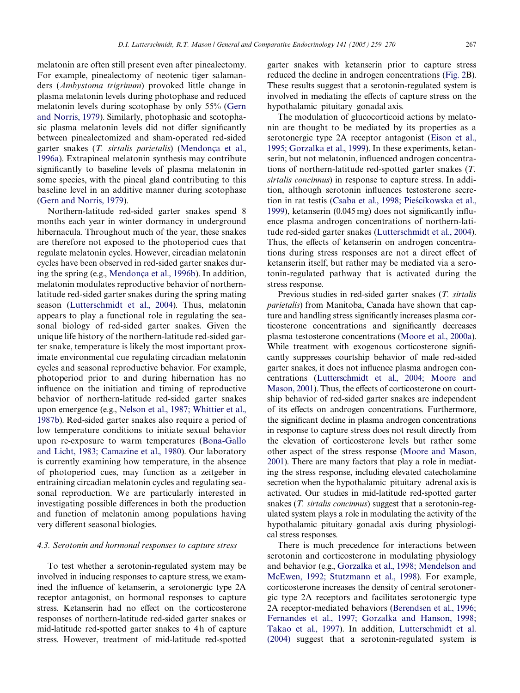melatonin are often still present even after pinealectomy. For example, pinealectomy of neotenic tiger salamanders (*Ambystoma trigrinum*) provoked little change in plasma melatonin levels during photophase and reduced melatonin levels during scotophase by only 55% ([Gern](#page-9-17) [and Norris, 1979](#page-9-17)). Similarly, photophasic and scotophasic plasma melatonin levels did not differ significantly between pinealectomized and sham-operated red-sided garter snakes (*T. sirtalis parietalis*) ([Mendonça et al.,](#page-10-17) [1996a\)](#page-10-17). Extrapineal melatonin synthesis may contribute significantly to baseline levels of plasma melatonin in some species, with the pineal gland contributing to this baseline level in an additive manner during scotophase ([Gern and Norris, 1979\)](#page-9-17).

Northern-latitude red-sided garter snakes spend 8 months each year in winter dormancy in underground hibernacula. Throughout much of the year, these snakes are therefore not exposed to the photoperiod cues that regulate melatonin cycles. However, circadian melatonin cycles have been observed in red-sided garter snakes during the spring (e.g., [Mendonça et al., 1996b\)](#page-10-18). In addition, melatonin modulates reproductive behavior of northernlatitude red-sided garter snakes during the spring mating season ([Lutterschmidt et al., 2004\)](#page-10-6). Thus, melatonin appears to play a functional role in regulating the seasonal biology of red-sided garter snakes. Given the unique life history of the northern-latitude red-sided garter snake, temperature is likely the most important proximate environmental cue regulating circadian melatonin cycles and seasonal reproductive behavior. For example, photoperiod prior to and during hibernation has no influence on the initiation and timing of reproductive behavior of northern-latitude red-sided garter snakes upon emergence (e.g., [Nelson et al., 1987; Whittier et al.,](#page-10-19) [1987b](#page-10-19)). Red-sided garter snakes also require a period of low temperature conditions to initiate sexual behavior upon re-exposure to warm temperatures ([Bona-Gallo](#page-9-18) [and Licht, 1983; Camazine et al., 1980\)](#page-9-18). Our laboratory is currently examining how temperature, in the absence of photoperiod cues, may function as a zeitgeber in entraining circadian melatonin cycles and regulating seasonal reproduction. We are particularly interested in investigating possible differences in both the production and function of melatonin among populations having very different seasonal biologies.

# *4.3. Serotonin and hormonal responses to capture stress*

To test whether a serotonin-regulated system may be involved in inducing responses to capture stress, we examined the influence of ketanserin, a serotonergic type 2A receptor antagonist, on hormonal responses to capture stress. Ketanserin had no effect on the corticosterone responses of northern-latitude red-sided garter snakes or mid-latitude red-spotted garter snakes to 4h of capture stress. However, treatment of mid-latitude red-spotted

garter snakes with ketanserin prior to capture stress reduced the decline in androgen concentrations ([Fig. 2B](#page-6-0)). These results suggest that a serotonin-regulated system is involved in mediating the effects of capture stress on the hypothalamic–pituitary–gonadal axis.

The modulation of glucocorticoid actions by melatonin are thought to be mediated by its properties as a serotonergic type 2A receptor antagonist [\(Eison et al.,](#page-9-6) [1995; Gorzalka et al., 1999\)](#page-9-6). In these experiments, ketanserin, but not melatonin, influenced androgen concentrations of northern-latitude red-spotted garter snakes (*T. sirtalis concinnus*) in response to capture stress. In addition, although serotonin influences testosterone secre-tion in rat testis [\(Csaba et al., 1998; Pie](#page-9-19)ś[cikowska et al.,](#page-9-19) [1999\)](#page-9-19), ketanserin  $(0.045 \text{ mg})$  does not significantly influence plasma androgen concentrations of northern-latitude red-sided garter snakes ([Lutterschmidt et al., 2004\)](#page-10-6). Thus, the effects of ketanserin on androgen concentrations during stress responses are not a direct effect of ketanserin itself, but rather may be mediated via a serotonin-regulated pathway that is activated during the stress response.

Previous studies in red-sided garter snakes (*T. sirtalis parietalis*) from Manitoba, Canada have shown that capture and handling stress significantly increases plasma corticosterone concentrations and significantly decreases plasma testosterone concentrations [\(Moore et al., 2000a](#page-10-7)). While treatment with exogenous corticosterone significantly suppresses courtship behavior of male red-sided garter snakes, it does not influence plasma androgen concentrations ([Lutterschmidt et al., 2004; Moore and](#page-10-6) [Mason, 2001](#page-10-6)). Thus, the effects of corticosterone on courtship behavior of red-sided garter snakes are independent of its effects on androgen concentrations. Furthermore, the significant decline in plasma androgen concentrations in response to capture stress does not result directly from the elevation of corticosterone levels but rather some other aspect of the stress response ([Moore and Mason,](#page-10-20) [2001\)](#page-10-20). There are many factors that play a role in mediating the stress response, including elevated catecholamine secretion when the hypothalamic–pituitary–adrenal axis is activated. Our studies in mid-latitude red-spotted garter snakes (*T. sirtalis concinnus*) suggest that a serotonin-regulated system plays a role in modulating the activity of the hypothalamic–pituitary–gonadal axis during physiological stress responses.

There is much precedence for interactions between serotonin and corticosterone in modulating physiology and behavior (e.g., [Gorzalka et al., 1998; Mendelson and](#page-9-20) [McEwen, 1992; Stutzmann et al., 1998](#page-9-20)). For example, corticosterone increases the density of central serotonergic type 2A receptors and facilitates serotonergic type 2A receptor-mediated behaviors ([Berendsen et al., 1996;](#page-9-10) [Fernandes et al., 1997; Gorzalka and Hanson, 1998;](#page-9-10) [Takao et al., 1997\)](#page-9-10). In addition, [Lutterschmidt et al.](#page-10-6) [\(2004\)](#page-10-6) suggest that a serotonin-regulated system is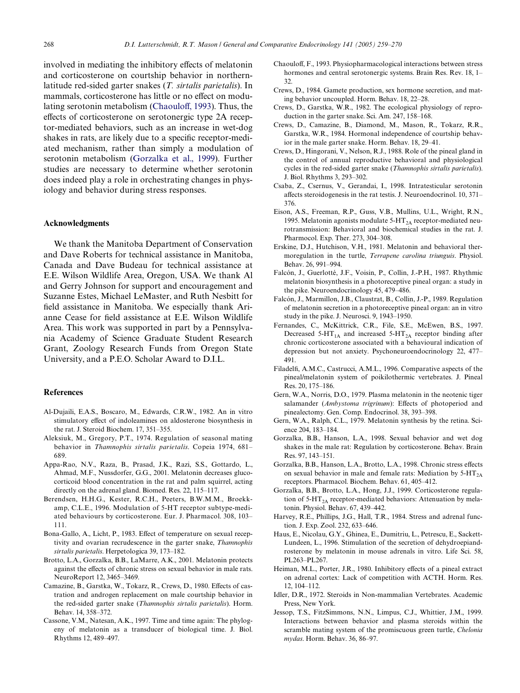involved in mediating the inhibitory effects of melatonin and corticosterone on courtship behavior in northernlatitude red-sided garter snakes (*T. sirtalis parietalis*). In mammals, corticosterone has little or no effect on modu-lating serotonin metabolism ([Chaoulo](#page-9-21)ff[, 1993\)](#page-9-21). Thus, the effects of corticosterone on serotonergic type 2A receptor-mediated behaviors, such as an increase in wet-dog shakes in rats, are likely due to a specific receptor-mediated mechanism, rather than simply a modulation of serotonin metabolism [\(Gorzalka et al., 1999](#page-9-5)). Further studies are necessary to determine whether serotonin does indeed play a role in orchestrating changes in physiology and behavior during stress responses.

#### **Acknowledgments**

We thank the Manitoba Department of Conservation and Dave Roberts for technical assistance in Manitoba, Canada and Dave Budeau for technical assistance at E.E. Wilson Wildlife Area, Oregon, USA. We thank Al and Gerry Johnson for support and encouragement and Suzanne Estes, Michael LeMaster, and Ruth Nesbitt for field assistance in Manitoba. We especially thank Arianne Cease for field assistance at E.E. Wilson Wildlife Area. This work was supported in part by a Pennsylvania Academy of Science Graduate Student Research Grant, Zoology Research Funds from Oregon State University, and a P.E.O. Scholar Award to D.I.L.

## **References**

- <span id="page-9-1"></span>Al-Dujaili, E.A.S., Boscaro, M., Edwards, C.R.W., 1982. An in vitro stimulatory effect of indoleamines on aldosterone biosynthesis in the rat. J. Steroid Biochem. 17, 351–355.
- <span id="page-9-14"></span>Aleksiuk, M., Gregory, P.T., 1974. Regulation of seasonal mating behavior in *Thamnophis sirtalis parietalis*. Copeia 1974, 681– 689.
- <span id="page-9-3"></span>Appa-Rao, N.V., Raza, B., Prasad, J.K., Razi, S.S., Gottardo, L., Ahmad, M.F., Nussdorfer, G.G., 2001. Melatonin decreases glucocorticoid blood concentration in the rat and palm squirrel, acting directly on the adrenal gland. Biomed. Res. 22, 115–117.
- <span id="page-9-10"></span>Berendsen, H.H.G., Kester, R.C.H., Peeters, B.W.M.M., Broekkamp, C.L.E., 1996. Modulation of 5-HT receptor subtype-mediated behaviours by corticosterone. Eur. J. Pharmacol. 308, 103– 111.
- <span id="page-9-18"></span>Bona-Gallo, A., Licht, P., 1983. Effect of temperature on sexual receptivity and ovarian recrudescence in the garter snake, *Thamnophis sirtalis parietalis*. Herpetologica 39, 173–182.
- <span id="page-9-4"></span>Brotto, L.A., Gorzalka, B.B., LaMarre, A.K., 2001. Melatonin protects against the effects of chronic stress on sexual behavior in male rats. NeuroReport 12, 3465–3469.
- Camazine, B., Garstka, W., Tokarz, R., Crews, D., 1980. Effects of castration and androgen replacement on male courtship behavior in the red-sided garter snake (*Thamnophis sirtalis parietalis*). Horm. Behav. 14, 358–372.
- <span id="page-9-9"></span>Cassone, V.M., Natesan, A.K., 1997. Time and time again: The phylogeny of melatonin as a transducer of biological time. J. Biol. Rhythms 12, 489–497.
- <span id="page-9-21"></span>Chaouloff, F., 1993. Physiopharmacological interactions between stress hormones and central serotonergic systems. Brain Res. Rev. 18, 1– 32.
- Crews, D., 1984. Gamete production, sex hormone secretion, and mating behavior uncoupled. Horm. Behav. 18, 22–28.
- <span id="page-9-8"></span>Crews, D., Garstka, W.R., 1982. The ecological physiology of reproduction in the garter snake. Sci. Am. 247, 158–168.
- Crews, D., Camazine, B., Diamond, M., Mason, R., Tokarz, R.R., Garstka, W.R., 1984. Hormonal independence of courtship behavior in the male garter snake. Horm. Behav. 18, 29–41.
- <span id="page-9-15"></span>Crews, D., Hingorani, V., Nelson, R.J., 1988. Role of the pineal gland in the control of annual reproductive behavioral and physiological cycles in the red-sided garter snake (*Thamnophis sirtalis parietalis*). J. Biol. Rhythms 3, 293–302.
- <span id="page-9-19"></span>Csaba, Z., Csernus, V., Gerandai, I., 1998. Intratesticular serotonin affects steroidogenesis in the rat testis. J. Neuroendocrinol.  $10, 371-$ 376.
- <span id="page-9-6"></span>Eison, A.S., Freeman, R.P., Guss, V.B., Mullins, U.L., Wright, R.N., 1995. Melatonin agonists modulate  $5-HT_{2A}$  receptor-mediated neurotransmission: Behavioral and biochemical studies in the rat. J. Pharmocol. Exp. Ther. 273, 304–308.
- <span id="page-9-11"></span>Erskine, D.J., Hutchison, V.H., 1981. Melatonin and behavioral thermoregulation in the turtle, *Terrapene carolina triunguis*. Physiol. Behav. 26, 991–994.
- Falcón, J., Guerlotté, J.F., Voisin, P., Collin, J.-P.H., 1987. Rhythmic melatonin biosynthesis in a photoreceptive pineal organ: a study in the pike. Neuroendocrinology 45, 479–486.
- Falcón, J., Marmillon, J.B., Claustrat, B., Collin, J.-P., 1989. Regulation of melatonin secretion in a photoreceptive pineal organ: an in vitro study in the pike. J. Neurosci. 9, 1943–1950.
- Fernandes, C., McKittrick, C.R., File, S.E., McEwen, B.S., 1997. Decreased 5-HT<sub>1A</sub> and increased 5-HT<sub>2A</sub> receptor binding after chronic corticosterone associated with a behavioural indication of depression but not anxiety. Psychoneuroendocrinology 22, 477– 491.
- <span id="page-9-13"></span>Filadelfi, A.M.C., Castrucci, A.M.L., 1996. Comparative aspects of the pineal/melatonin system of poikilothermic vertebrates. J. Pineal Res. 20, 175–186.
- <span id="page-9-17"></span>Gern, W.A., Norris, D.O., 1979. Plasma melatonin in the neotenic tiger salamander (Ambystoma trigrinum): Effects of photoperiod and pinealectomy. Gen. Comp. Endocrinol. 38, 393–398.
- <span id="page-9-16"></span>Gern, W.A., Ralph, C.L., 1979. Melatonin synthesis by the retina. Science 204, 183–184.
- Gorzalka, B.B., Hanson, L.A., 1998. Sexual behavior and wet dog shakes in the male rat: Regulation by corticosterone. Behav. Brain Res. 97, 143–151.
- <span id="page-9-20"></span>Gorzalka, B.B., Hanson, L.A., Brotto, L.A., 1998. Chronic stress effects on sexual behavior in male and female rats: Mediation by  $5-HT_{2A}$ receptors. Pharmacol. Biochem. Behav. 61, 405–412.
- <span id="page-9-5"></span>Gorzalka, B.B., Brotto, L.A., Hong, J.J., 1999. Corticosterone regulation of  $5-HT_{2A}$  receptor-mediated behaviors: Attenuation by melatonin. Physiol. Behav. 67, 439–442.
- <span id="page-9-0"></span>Harvey, R.E., Phillips, J.G., Hall, T.R., 1984. Stress and adrenal function. J. Exp. Zool. 232, 633–646.
- Haus, E., Nicolau, G.Y., Ghinea, E., Dumitriu, L., Petrescu, E., Sackett-Lundeen, L., 1996. Stimulation of the secretion of dehydroepiandrosterone by melatonin in mouse adrenals in vitro. Life Sci. 58, PL263–PL267.
- <span id="page-9-2"></span>Heiman, M.L., Porter, J.R., 1980. Inhibitory effects of a pineal extract on adrenal cortex: Lack of competition with ACTH. Horm. Res. 12, 104–112.
- <span id="page-9-7"></span>Idler, D.R., 1972. Steroids in Non-mammalian Vertebrates. Academic Press, New York.
- <span id="page-9-12"></span>Jessop, T.S., FitzSimmons, N.N., Limpus, C.J., Whittier, J.M., 1999. Interactions between behavior and plasma steroids within the scramble mating system of the promiscuous green turtle, *Chelonia mydas*. Horm. Behav. 36, 86–97.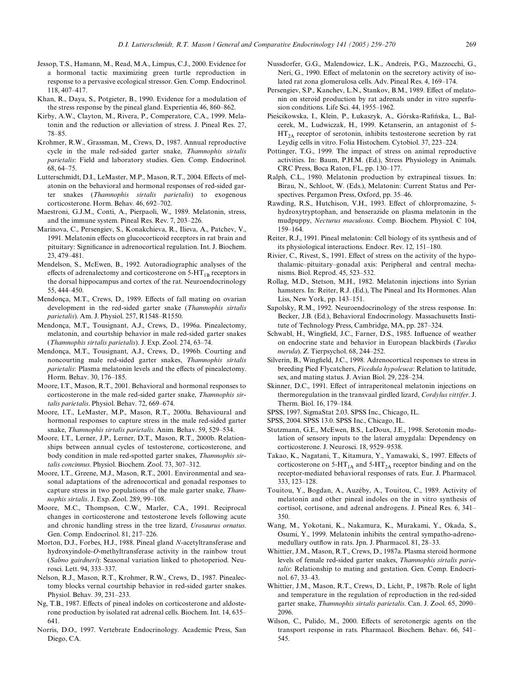- Jessop, T.S., Hamann, M., Read, M.A., Limpus, C.J., 2000. Evidence for a hormonal tactic maximizing green turtle reproduction in response to a pervasive ecological stressor. Gen. Comp. Endocrinol. 118, 407–417.
- <span id="page-10-4"></span>Khan, R., Daya, S., Potgieter, B., 1990. Evidence for a modulation of the stress response by the pineal gland. Experientia 46, 860–862.
- Kirby, A.W., Clayton, M., Rivera, P., Comperatore, C.A., 1999. Melatonin and the reduction or alleviation of stress. J. Pineal Res. 27, 78–85.
- <span id="page-10-9"></span>Krohmer, R.W., Grassman, M., Crews, D., 1987. Annual reproductive cycle in the male red-sided garter snake, *Thamnophis sirtalis parietalis*: Field and laboratory studies. Gen. Comp. Endocrinol. 68, 64–75.
- <span id="page-10-6"></span>Lutterschmidt, D.I., LeMaster, M.P., Mason, R.T., 2004. Effects of melatonin on the behavioral and hormonal responses of red-sided garter snakes (*Thamnophis sirtalis parietalis*) to exogenous corticosterone. Horm. Behav. 46, 692–702.
- Maestroni, G.J.M., Conti, A., Pierpaoli, W., 1989. Melatonin, stress, and the immune system. Pineal Res. Rev. 7, 203–226.
- <span id="page-10-5"></span>Marinova, C., Persengiev, S., Konakchieva, R., Ilieva, A., Patchev, V., 1991. Melatonin effects on glucocorticoid receptors in rat brain and pituitary: Significance in adrenocortical regulation. Int. J. Biochem. 23, 479–481.
- Mendelson, S., McEwen, B., 1992. Autoradiographic analyses of the effects of adrenalectomy and corticosterone on  $5-HT_{1B}$  receptors in the dorsal hippocampus and cortex of the rat. Neuroendocrinology 55, 444–450.
- Mendonça, M.T., Crews, D., 1989. Effects of fall mating on ovarian development in the red-sided garter snake (*Thamnophis sirtalis parietalis*). Am. J. Physiol. 257, R1548–R1550.
- <span id="page-10-17"></span>Mendonça, M.T., Tousignant, A.J., Crews, D., 1996a. Pinealectomy, melatonin, and courtship behavior in male red-sided garter snakes (*Thamnophis sirtalis parietalis*). J. Exp. Zool. 274, 63–74.
- <span id="page-10-18"></span>Mendonça, M.T., Tousignant, A.J., Crews, D., 1996b. Courting and noncourting male red-sided garter snakes, *Thamnophis sirtalis parietalis*: Plasma melatonin levels and the effects of pinealectomy. Horm. Behav. 30, 176–185.
- <span id="page-10-20"></span>Moore, I.T., Mason, R.T., 2001. Behavioral and hormonal responses to corticosterone in the male red-sided garter snake, *Thamnophis sirtalis parietalis*. Physiol. Behav. 72, 669–674.
- <span id="page-10-7"></span>Moore, I.T., LeMaster, M.P., Mason, R.T., 2000a. Behavioural and hormonal responses to capture stress in the male red-sided garter snake, *Thamnophis sirtalis parietalis*. Anim. Behav. 59, 529–534.
- <span id="page-10-10"></span>Moore, I.T., Lerner, J.P., Lerner, D.T., Mason, R.T., 2000b. Relationships between annual cycles of testosterone, corticosterone, and body condition in male red-spotted garter snakes, *Thamnophis sirtalis concinnus*. Physiol. Biochem. Zool. 73, 307–312.
- <span id="page-10-8"></span>Moore, I.T., Greene, M.J., Mason, R.T., 2001. Environmental and seasonal adaptations of the adrenocortical and gonadal responses to capture stress in two populations of the male garter snake, *Thamnophis sirtalis*. J. Exp. Zool. 289, 99–108.
- <span id="page-10-1"></span>Moore, M.C., Thompson, C.W., Marler, C.A., 1991. Reciprocal changes in corticosterone and testosterone levels following acute and chronic handling stress in the tree lizard, *Urosaurus ornatus*. Gen. Comp. Endocrinol. 81, 217–226.
- Morton, D.J., Forbes, H.J., 1988. Pineal gland *N*-acetyltransferase and hydroxyindole-*O*-methyltransferase activity in the rainbow trout (*Salmo gairdneri*): Seasonal variation linked to photoperiod. Neurosci. Lett. 94, 333–337.
- <span id="page-10-19"></span>Nelson, R.J., Mason, R.T., Krohmer, R.W., Crews, D., 1987. Pinealectomy blocks vernal courtship behavior in red-sided garter snakes. Physiol. Behav. 39, 231–233.
- Ng, T.B., 1987. Effects of pineal indoles on corticosterone and aldosterone production by isolated rat adrenal cells. Biochem. Int. 14, 635– 641.
- Norris, D.O., 1997. Vertebrate Endocrinology. Academic Press, San Diego, CA.
- Nussdorfer, G.G., Malendowicz, L.K., Andreis, P.G., Mazzocchi, G., Neri, G., 1990. Effect of melatonin on the secretory activity of isolated rat zona glomerulosa cells. Adv. Pineal Res. 4, 169–174.
- Persengiev, S.P., Kanchev, L.N., Stankov, B.M., 1989. Effect of melatonin on steroid production by rat adrenals under in vitro superfusion conditions. Life Sci. 44, 1955–1962.
- Pieścikowska, I., Klein, P., Łukaszyk, A., Górska-Rafińska, L., Balcerek, M., Ludwiczak, H., 1999. Ketanserin, an antagonist of 5-  $HT<sub>2A</sub>$  receptor of serotonin, inhibits testosterone secretion by rat Leydig cells in vitro. Folia Histochem. Cytobiol. 37, 223–224.
- <span id="page-10-0"></span>Pottinger, T.G., 1999. The impact of stress on animal reproductive activities. In: Baum, P.H.M. (Ed.), Stress Physiology in Animals. CRC Press, Boca Raton, FL, pp. 130–177.
- Ralph, C.L., 1980. Melatonin production by extrapineal tissues. In: Birau, N., Schloot, W. (Eds.), Melatonin: Current Status and Perspectives. Pergamon Press, Oxford, pp. 35–46.
- <span id="page-10-11"></span>Rawding, R.S., Hutchison, V.H., 1993. Effect of chlorpromazine, 5hydroxytryptophan, and benserazide on plasma melatonin in the mudpuppy, *Necturus maculosus*. Comp. Biochem. Physiol. C 104, 159–164.
- <span id="page-10-3"></span>Reiter, R.J., 1991. Pineal melatonin: Cell biology of its synthesis and of its physiological interactions. Endocr. Rev. 12, 151–180.
- <span id="page-10-2"></span>Rivier, C., Rivest, S., 1991. Effect of stress on the activity of the hypothalamic–pituitary–gonadal axis: Peripheral and central mechanisms. Biol. Reprod. 45, 523–532.
- <span id="page-10-15"></span>Rollag, M.D., Stetson, M.H., 1982. Melatonin injections into Syrian hamsters. In: Reiter, R.J. (Ed.), The Pineal and Its Hormones. Alan Liss, New York, pp. 143–151.
- Sapolsky, R.M., 1992. Neuroendocrinology of the stress response. In: Becker, J.B. (Ed.), Behavioral Endocrinology. Massachusetts Institute of Technology Press, Cambridge, MA, pp. 287–324.
- Schwabl, H., Wingfield, J.C., Farner, D.S., 1985. Influence of weather on endocrine state and behavior in European blackbirds (*Turdus merula*). Z. Tierpsychol. 68, 244–252.
- <span id="page-10-16"></span>Silverin, B., Wingfield, J.C., 1998. Adrenocortical responses to stress in breeding Pied Flycatchers, *Ficedula hypoleuca*: Relation to latitude, sex, and mating status. J. Avian Biol. 29, 228–234.
- Skinner, D.C., 1991. Effect of intraperitoneal melatonin injections on thermoregulation in the transvaal girdled lizard, *Cordylus vittifer*. J. Therm. Biol. 16, 179–184.
- <span id="page-10-13"></span>SPSS, 1997. SigmaStat 2.03. SPSS Inc., Chicago, IL.
- <span id="page-10-14"></span>SPSS, 2004. SPSS 13.0. SPSS Inc., Chicago, IL.
- Stutzmann, G.E., McEwen, B.S., LeDoux, J.E., 1998. Serotonin modulation of sensory inputs to the lateral amygdala: Dependency on corticosterone. J. Neurosci. 18, 9529–9538.
- Takao, K., Nagatani, T., Kitamura, Y., Yamawaki, S., 1997. Effects of corticosterone on  $5-HT_{1A}$  and  $5-HT_{2A}$  receptor binding and on the receptor-mediated behavioral responses of rats. Eur. J. Pharmacol. 333, 123–128.
- Touitou, Y., Bogdan, A., Auzéby, A., Touitou, C., 1989. Activity of melatonin and other pineal indoles on the in vitro synthesis of cortisol, cortisone, and adrenal androgens. J. Pineal Res. 6, 341– 350.
- Wang, M., Yokotani, K., Nakamura, K., Murakami, Y., Okada, S., Osumi, Y., 1999. Melatonin inhibits the central sympatho-adrenomedullary outflow in rats. Jpn. J. Pharmacol. 81, 28–33.
- Whittier, J.M., Mason, R.T., Crews, D., 1987a. Plasma steroid hormone levels of female red-sided garter snakes, *Thamnophis sirtalis parietalis*: Relationship to mating and gestation. Gen. Comp. Endocrinol. 67, 33–43.
- Whittier, J.M., Mason, R.T., Crews, D., Licht, P., 1987b. Role of light and temperature in the regulation of reproduction in the red-sided garter snake, *Thamnophis sirtalis parietalis*. Can. J. Zool. 65, 2090– 2096.
- <span id="page-10-12"></span>Wilson, C., Pulido, M., 2000. Effects of serotonergic agents on the transport response in rats. Pharmacol. Biochem. Behav. 66, 541– 545.